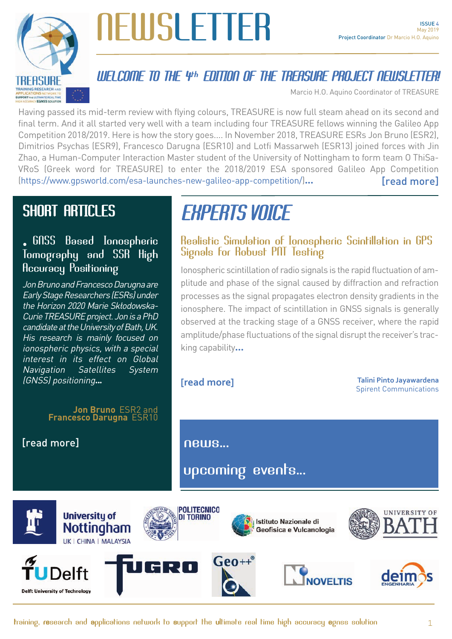

# NEWSLETTER

### WELCOME TO THE 4th EDITION OF THE TREASURE PROJECT NEWSLETTER!

Marcio H.O. Aquino Coordinator of TREASURE

Having passed its mid-term review with flying colours, TREASURE is now full steam ahead on its second and final term. And it all started very well with a team including four TREASURE fellows winning the Galileo App Competition 2018/2019. Here is how the story goes.... In November 2018, TREASURE ESRs Jon Bruno (ESR2), Dimitrios Psychas (ESR9), Francesco Darugna (ESR10) and Lotfi Massarweh (ESR13) joined forces with Jin Zhao, a Human-Computer Interaction Master student of the University of Nottingham to form team O ThiSa-VRoS (Greek word for TREASURE) to enter the 2018/2019 ESA sponsored Galileo App Competition [\(https://www.gpsworld.com/esa-launches-new-galileo-app-competition/\)](https://www.gpsworld.com/esa-launches-new-galileo-app-competition/)... [\[read more\]](#page-1-0)

## SHORT ARTICLES

### • GNSS Based Ionospheric Tomography and SSR High Accuracy Positioning

Jon Bruno and Francesco Darugna are Early Stage Researchers (ESRs) under the Horizon 2020 Marie Skłodowska-Curie TREASURE project. Jon is a PhD candidate at the University of Bath, UK. His research is mainly focused on ionospheric physics, with a special interest in its effect on Global Navigation Satellites System (GNSS) positioning...

#### **Jon Bruno** ESR2 and **Francesco Darugna** ESR10

[\[read more\]](#page-3-0) [news.](#page-9-0)..

## EXPERTS VOICE

#### Realistic Simulation of Ionospheric Scintillation in GPS Signals for Robust PNT Testing

Ionospheric scintillation of radio signals is the rapid fluctuation of amplitude and phase of the signal caused by diffraction and refraction processes as the signal propagates electron density gradients in the ionosphere. The impact of scintillation in GNSS signals is generally observed at the tracking stage of a GNSS receiver, where the rapid amplitude/phase fluctuations of the signal disrupt the receiver's tracking capability...

**[\[read more\]](#page-6-0)**

**Talini Pinto Jayawardena** Spirent Communications

[upcoming events...](#page-10-0)

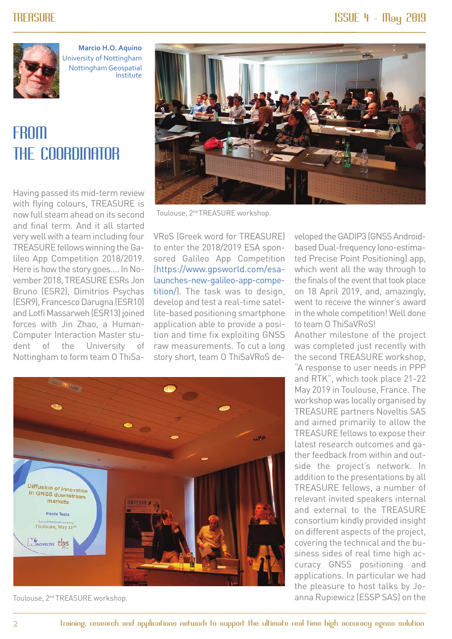<span id="page-1-0"></span>

**Marcio H.O. Aquino** University of Nottingham Nottingham Geospatial Institute

## **FROM** THE COORDINATOR

Having passed its mid-term review with flying colours, TREASURE is now full steam ahead on its second and final term. And it all started very well with a team including four TREASURE fellows winning the Galileo App Competition 2018/2019. Here is how the story goes.... In November 2018, TREASURE ESRs Jon Bruno (ESR2), Dimitrios Psychas (ESR9), Francesco Darugna (ESR10) and Lotfi Massarweh (ESR13) joined forces with Jin Zhao, a Human-Computer Interaction Master student of the University of Nottingham to form team O ThiSa-



Toulouse, 2nd TREASURE workshop.

VRoS (Greek word for TREASURE) to enter the 2018/2019 ESA sponsored Galileo App Competition [\(https://www.gpsworld.com/esa](https://www.gpsworld.com/esa-launches-new-galileo-app-competition/)[launches-new-galileo-app-compe](https://www.gpsworld.com/esa-launches-new-galileo-app-competition/)[tition/\)](https://www.gpsworld.com/esa-launches-new-galileo-app-competition/). The task was to design, develop and test a real-time satellite-based positioning smartphone application able to provide a position and time fix exploiting GNSS raw measurements. To cut a long story short, team O ThiSaVRoS de-



Toulouse, 2nd TREASURE workshop.

veloped the GADIP3 (GNSS Androidbased Dual-frequency Iono-estimated Precise Point Positioning) app, which went all the way through to the finals of the event that took place on 18 April 2019, and, amazingly, went to receive the winner's award in the whole competition! Well done to team O ThiSaVRoS!

Another milestone of the project was completed just recently with the second TREASURE workshop, "A response to user needs in PPP and RTK", which took place 21-22 May 2019 in Toulouse, France. The workshop was locally organised by TREASURE partners Noveltis SAS and aimed primarily to allow the TREASURE fellows to expose their latest research outcomes and gather feedback from within and outside the project's network. In addition to the presentations by all TREASURE fellows, a number of relevant invited speakers internal and external to the TREASURE consortium kindly provided insight on different aspects of the project, covering the technical and the business sides of real time high accuracy GNSS positioning and applications. In particular we had the pleasure to host talks by Joanna Rupiewicz (ESSP SAS) on the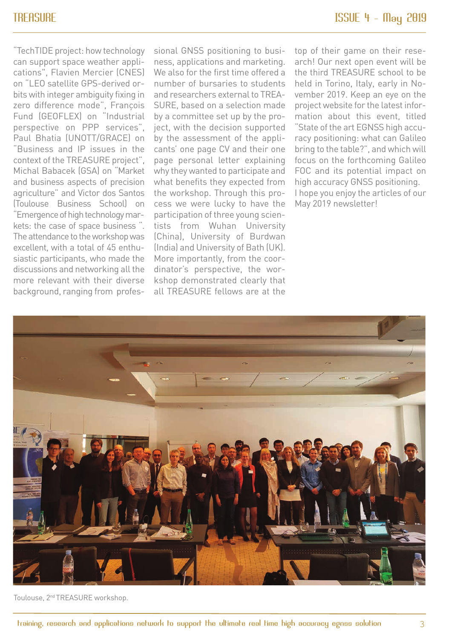"TechTIDE project: how technology can support space weather applications", Flavien Mercier (CNES) on "LEO satellite GPS-derived orbits with integer ambiguity fixing in zero difference mode", François Fund (GEOFLEX) on "Industrial perspective on PPP services", Paul Bhatia (UNOTT/GRACE) on "Business and IP issues in the context of the TREASURE project", Michal Babacek (GSA) on "Market and business aspects of precision agriculture" and Victor dos Santos (Toulouse Business School) on "Emergence of high technology markets: the case of space business ". The attendance to the workshop was excellent, with a total of 45 enthusiastic participants, who made the discussions and networking all the more relevant with their diverse background, ranging from professional GNSS positioning to business, applications and marketing. We also for the first time offered a number of bursaries to students and researchers external to TREA-SURE, based on a selection made by a committee set up by the project, with the decision supported by the assessment of the applicants' one page CV and their one page personal letter explaining why they wanted to participate and what benefits they expected from the workshop. Through this process we were lucky to have the participation of three young scientists from Wuhan University (China), University of Burdwan (India) and University of Bath (UK). More importantly, from the coordinator's perspective, the workshop demonstrated clearly that all TREASURE fellows are at the

top of their game on their research! Our next open event will be the third TREASURE school to be held in Torino, Italy, early in November 2019. Keep an eye on the project website for the latest information about this event, titled "State of the art EGNSS high accuracy positioning: what can Galileo bring to the table?", and which will focus on the forthcoming Galileo FOC and its potential impact on high accuracy GNSS positioning. I hope you enjoy the articles of our May 2019 newsletter!



Toulouse, 2nd TREASURE workshop.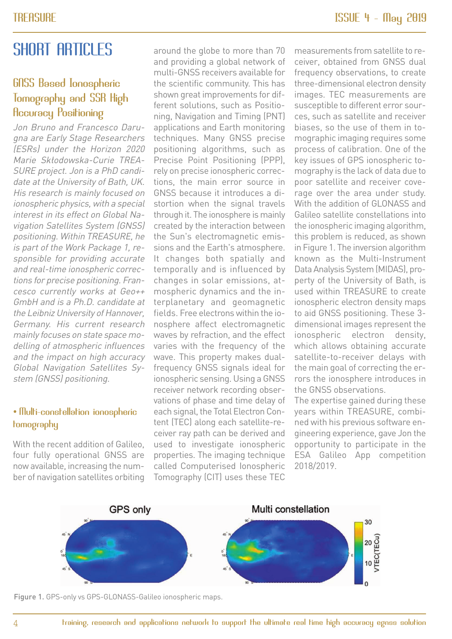## <span id="page-3-0"></span>SHORT ARTICLES

### GNSS Based Ionospheric Tomography and SSR High Accuracy Positioning

Jon Bruno and Francesco Darugna are Early Stage Researchers (ESRs) under the Horizon 2020 Marie Skłodowska-Curie TREA-SURE project. Jon is a PhD candidate at the University of Bath, UK. His research is mainly focused on ionospheric physics, with a special interest in its effect on Global Navigation Satellites System (GNSS) positioning. Within TREASURE, he is part of the Work Package 1, responsible for providing accurate and real-time ionospheric corrections for precise positioning. Francesco currently works at Geo++ GmbH and is a Ph.D. candidate at the Leibniz University of Hannover, Germany. His current research mainly focuses on state space modelling of atmospheric influences and the impact on high accuracy Global Navigation Satellites System (GNSS) positioning.

#### • Multi-constellation ionospheric tomography

With the recent addition of Galileo. four fully operational GNSS are now available, increasing the number of navigation satellites orbiting

around the globe to more than 70 and providing a global network of multi-GNSS receivers available for the scientific community. This has shown great improvements for different solutions, such as Positioning, Navigation and Timing (PNT) applications and Earth monitoring techniques. Many GNSS precise positioning algorithms, such as Precise Point Positioning (PPP), rely on precise ionospheric corrections, the main error source in GNSS because it introduces a distortion when the signal travels through it. The ionosphere is mainly created by the interaction between the Sun's electromagnetic emissions and the Earth's atmosphere. It changes both spatially and temporally and is influenced by changes in solar emissions, atmospheric dynamics and the interplanetary and geomagnetic fields. Free electrons within the ionosphere affect electromagnetic waves by refraction, and the effect varies with the frequency of the wave. This property makes dualfrequency GNSS signals ideal for ionospheric sensing. Using a GNSS receiver network recording observations of phase and time delay of each signal, the Total Electron Content (TEC) along each satellite-receiver ray path can be derived and used to investigate ionospheric properties. The imaging technique called Computerised Ionospheric Tomography (CIT) uses these TEC

measurements from satellite to receiver, obtained from GNSS dual frequency observations, to create three-dimensional electron density images. TEC measurements are susceptible to different error sources, such as satellite and receiver biases, so the use of them in tomographic imaging requires some process of calibration. One of the key issues of GPS ionospheric tomography is the lack of data due to poor satellite and receiver coverage over the area under study. With the addition of GLONASS and Galileo satellite constellations into the ionospheric imaging algorithm, this problem is reduced, as shown in Figure 1. The inversion algorithm known as the Multi-Instrument Data Analysis System (MIDAS), property of the University of Bath, is used within TREASURE to create ionospheric electron density maps to aid GNSS positioning. These 3 dimensional images represent the ionospheric electron density, which allows obtaining accurate satellite-to-receiver delays with the main goal of correcting the errors the ionosphere introduces in the GNSS observations.

The expertise gained during these years within TREASURE, combined with his previous software engineering experience, gave Jon the opportunity to participate in the ESA Galileo App competition 2018/2019.



Figure 1. GPS-only vs GPS-GLONASS-Galileo ionospheric maps.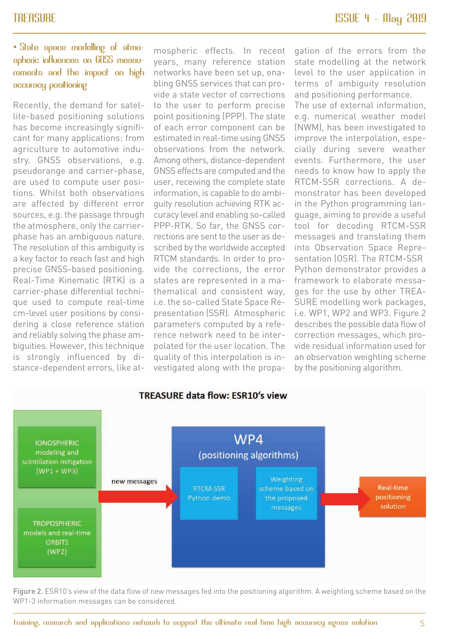#### • State space modelling of atmospheric influences on GNSS measurements and the impact on high accuracy positioning

Recently, the demand for satellite-based positioning solutions has become increasingly significant for many applications: from agriculture to automotive industry. GNSS observations, e.g. pseudorange and carrier-phase, are used to compute user positions. Whilst both observations are affected by different error sources, e.g. the passage through the atmosphere, only the carrierphase has an ambiguous nature. The resolution of this ambiguity is a key factor to reach fast and high precise GNSS-based positioning. Real-Time Kinematic (RTK) is a carrier-phase differential technique used to compute real-time cm-level user positions by considering a close reference station and reliably solving the phase ambiguities. However, this technique is strongly influenced by distance-dependent errors, like atmospheric effects. In recent years, many reference station networks have been set up, enabling GNSS services that can provide a state vector of corrections to the user to perform precise point positioning (PPP). The state of each error component can be estimated in real-time using GNSS observations from the network. Among others, distance-dependent GNSS effects are computed and the user, receiving the complete state information, is capable to do ambiguity resolution achieving RTK accuracy level and enabling so-called PPP-RTK. So far, the GNSS corrections are sent to the user as described by the worldwide accepted RTCM standards. In order to provide the corrections, the error states are represented in a mathematical and consistent way, i.e. the so-called State Space Representation (SSR). Atmospheric parameters computed by a reference network need to be interpolated for the user location. The quality of this interpolation is investigated along with the propagation of the errors from the state modelling at the network level to the user application in terms of ambiguity resolution and positioning performance.

The use of external information, e.g. numerical weather model (NWM), has been investigated to improve the interpolation, especially during severe weather events. Furthermore, the user needs to know how to apply the RTCM-SSR corrections. A demonstrator has been developed in the Python programming language, aiming to provide a useful tool for decoding RTCM-SSR messages and translating them into Observation Space Representation (OSR). The RTCM-SSR Python demonstrator provides a framework to elaborate messages for the use by other TREA-SURE modelling work packages, i.e. WP1, WP2 and WP3. Figure 2 describes the possible data flow of correction messages, which provide residual information used for an observation weighting scheme by the positioning algorithm.



Figure 2. ESR10's view of the data flow of new messages fed into the positioning algorithm. A weighting scheme based on the WP1-3 information messages can be considered.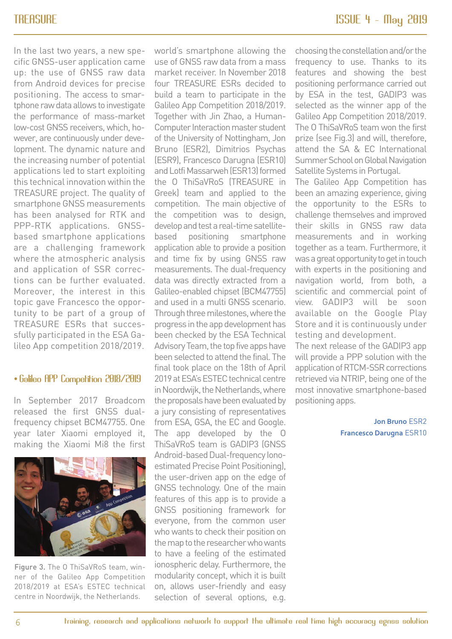In the last two years, a new specific GNSS-user application came up: the use of GNSS raw data from Android devices for precise positioning. The access to smartphone raw data allows to investigate the performance of mass-market low-cost GNSS receivers, which, however, are continuously under development. The dynamic nature and the increasing number of potential applications led to start exploiting this technical innovation within the TREASURE project. The quality of smartphone GNSS measurements has been analysed for RTK and PPP-RTK applications. GNSSbased smartphone applications are a challenging framework where the atmospheric analysis and application of SSR corrections can be further evaluated. Moreover, the interest in this topic gave Francesco the opportunity to be part of a group of TREASURE ESRs that successfully participated in the ESA Galileo App competition 2018/2019.

#### • Galileo APP Competition 2018/2019

In September 2017 Broadcom released the first GNSS dualfrequency chipset BCM47755. One year later Xiaomi employed it, making the Xiaomi Mi8 the first



Figure 3. The O ThiSaVRoS team, winner of the Galileo App Competition 2018/2019 at ESA's ESTEC technical centre in Noordwijk, the Netherlands.

world's smartphone allowing the use of GNSS raw data from a mass market receiver. In November 2018 four TREASURE ESRs decided to build a team to participate in the Galileo App Competition 2018/2019. Together with Jin Zhao, a Human-Computer Interaction master student of the University of Nottingham, Jon Bruno (ESR2), Dimitrios Psychas (ESR9), Francesco Darugna (ESR10) and Lotfi Massarweh (ESR13) formed the O ThiSaVRoS (TREASURE in Greek) team and applied to the competition. The main objective of the competition was to design, develop and test a real-time satellitebased positioning smartphone application able to provide a position and time fix by using GNSS raw measurements. The dual-frequency data was directly extracted from a Galileo-enabled chipset (BCM47755) and used in a multi GNSS scenario. Through three milestones, where the progress in the app development has been checked by the ESA Technical Advisory Team, the top five apps have been selected to attend the final. The final took place on the 18th of April 2019 at ESA's ESTEC technical centre in Noordwijk, the Netherlands, where the proposals have been evaluated by a jury consisting of representatives from ESA, GSA, the EC and Google. The app developed by the O ThiSaVRoS team is GADIP3 (GNSS Android-based Dual-frequency Ionoestimated Precise Point Positioning), the user-driven app on the edge of GNSS technology. One of the main features of this app is to provide a GNSS positioning framework for everyone, from the common user who wants to check their position on the map to the researcher who wants to have a feeling of the estimated ionospheric delay. Furthermore, the modularity concept, which it is built on, allows user-friendly and easy selection of several options, e.g. choosing the constellation and/or the frequency to use. Thanks to its features and showing the best positioning performance carried out by ESA in the test, GADIP3 was selected as the winner app of the Galileo App Competition 2018/2019. The O ThiSaVRoS team won the first prize (see Fig.3) and will, therefore, attend the SA & EC International Summer School on Global Navigation Satellite Systems in Portugal.

The Galileo App Competition has been an amazing experience, giving the opportunity to the ESRs to challenge themselves and improved their skills in GNSS raw data measurements and in working together as a team. Furthermore, it was a great opportunity to get in touch with experts in the positioning and navigation world, from both, a scientific and commercial point of view. GADIP3 will be soon available on the Google Play Store and it is continuously under testing and development.

The next release of the GADIP3 app will provide a PPP solution with the application of RTCM-SSR corrections retrieved via NTRIP, being one of the most innovative smartphone-based positioning apps.

> **Jon Bruno** ESR2 **Francesco Darugna** ESR10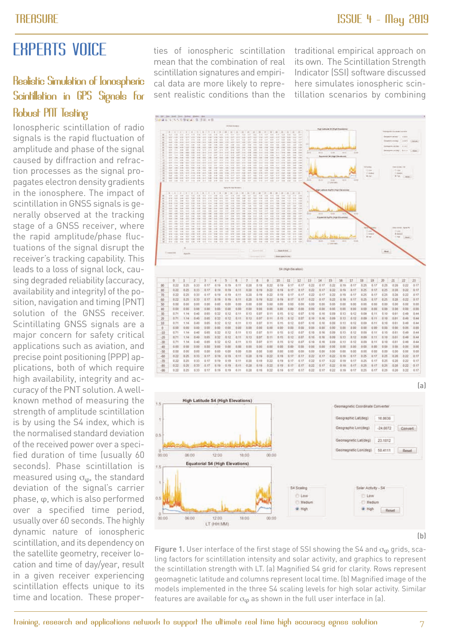## <span id="page-6-0"></span>EXPERTS VOICE

### Realistic Simulation of Ionospheric Scintillation in GPS Signals for Robust PNT Testing

Ionospheric scintillation of radio signals is the rapid fluctuation of amplitude and phase of the signal caused by diffraction and refraction processes as the signal propagates electron density gradients in the ionosphere. The impact of scintillation in GNSS signals is generally observed at the tracking stage of a GNSS receiver, where the rapid amplitude/phase fluctuations of the signal disrupt the receiver's tracking capability. This leads to a loss of signal lock, causing degraded reliability (accuracy, availability and integrity) of the position, navigation and timing (PNT) solution of the GNSS receiver. Scintillating GNSS signals are a major concern for safety critical applications such as aviation, and precise point positioning (PPP) applications, both of which require high availability, integrity and accuracy of the PNT solution. A wellknown method of measuring the strength of amplitude scintillation is by using the S4 index, which is the normalised standard deviation of the received power over a specified duration of time (usually 60 seconds). Phase scintillation is measured using  $\sigma_{\omega}$ , the standard deviation of the signal's carrier phase, φ, which is also performed over a specified time period, usually over 60 seconds. The highly dynamic nature of ionospheric scintillation, and its dependency on the satellite geometry, receiver location and time of day/year, result in a given receiver experiencing scintillation effects unique to its time and location. These properties of ionospheric scintillation mean that the combination of real scintillation signatures and empirical data are more likely to represent realistic conditions than the

traditional empirical approach on its own. The Scintillation Strength Indicator (SSI) software discussed here simulates ionospheric scintillation scenarios by combining



 $(b)$ 

Figure 1. User interface of the first stage of SSI showing the S4 and  $\sigma_{\omega}$  grids, scaling factors for scintillation intensity and solar activity, and graphics to represent the scintillation strength with LT. (a) Magnified S4 grid for clarity. Rows represent geomagnetic latitude and columns represent local time. (b) Magnified image of the models implemented in the three S4 scaling levels for high solar activity. Similar features are available for  $\sigma_{\varphi}$  as shown in the full user interface in (a).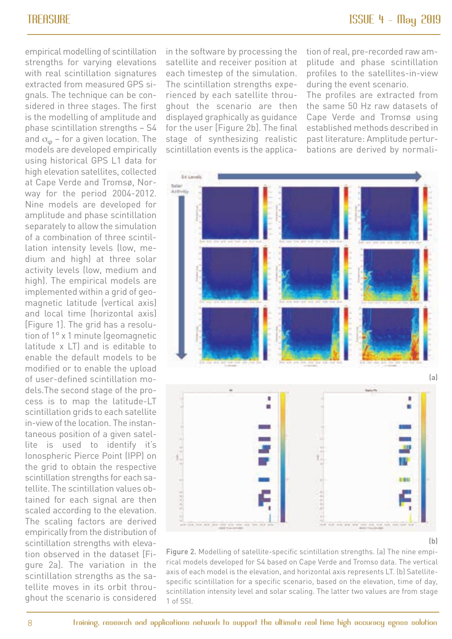empirical modelling of scintillation strengths for varying elevations with real scintillation signatures extracted from measured GPS signals. The technique can be considered in three stages. The first is the modelling of amplitude and phase scintillation strengths – S4 and  $\sigma_{\varphi}$  – for a given location. The models are developed empirically using historical GPS L1 data for high elevation satellites, collected at Cape Verde and Tromsø, Norway for the period 2004-2012. Nine models are developed for amplitude and phase scintillation separately to allow the simulation of a combination of three scintillation intensity levels (low, medium and high) at three solar activity levels (low, medium and high). The empirical models are implemented within a grid of geomagnetic latitude (vertical axis) and local time (horizontal axis) [Figure 1]. The grid has a resolution of 1° x 1 minute (geomagnetic latitude x LT) and is editable to enable the default models to be modified or to enable the upload of user-defined scintillation models.The second stage of the process is to map the latitude-LT scintillation grids to each satellite in-view of the location. The instantaneous position of a given satellite is used to identify it's Ionospheric Pierce Point (IPP) on the grid to obtain the respective scintillation strengths for each satellite. The scintillation values obtained for each signal are then scaled according to the elevation. The scaling factors are derived empirically from the distribution of scintillation strengths with elevation observed in the dataset [Figure 2a]. The variation in the scintillation strengths as the satellite moves in its orbit throughout the scenario is considered

in the software by processing the satellite and receiver position at each timestep of the simulation. The scintillation strengths experienced by each satellite throughout the scenario are then displayed graphically as guidance for the user [Figure 2b]. The final stage of synthesizing realistic scintillation events is the application of real, pre-recorded raw amplitude and phase scintillation profiles to the satellites-in-view during the event scenario.

The profiles are extracted from the same 50 Hz raw datasets of Cape Verde and Tromsø using established methods described in past literature: Amplitude perturbations are derived by normali-



 $(b)$ 

Figure 2. Modelling of satellite-specific scintillation strengths. (a) The nine empirical models developed for S4 based on Cape Verde and Tromso data. The vertical axis of each model is the elevation, and horizontal axis represents LT. (b) Satellitespecific scintillation for a specific scenario, based on the elevation, time of day, scintillation intensity level and solar scaling. The latter two values are from stage 1 of SSI.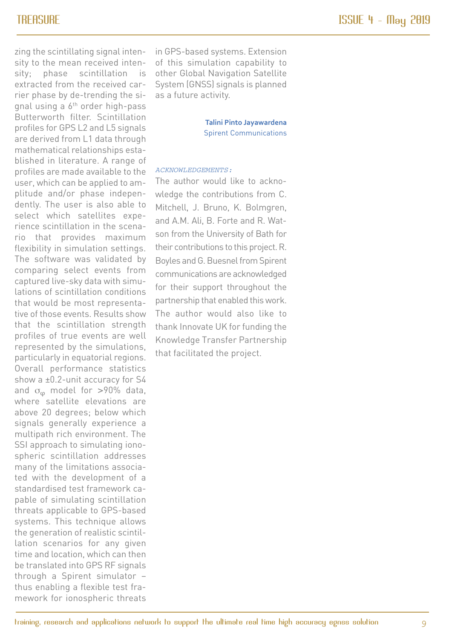zing the scintillating signal intensity to the mean received intensity; phase scintillation is extracted from the received carrier phase by de-trending the signal using a 6th order high-pass Butterworth filter. Scintillation profiles for GPS L2 and L5 signals are derived from L1 data through mathematical relationships established in literature. A range of profiles are made available to the user, which can be applied to amplitude and/or phase independently. The user is also able to select which satellites experience scintillation in the scenario that provides maximum flexibility in simulation settings. The software was validated by comparing select events from captured live-sky data with simulations of scintillation conditions that would be most representative of those events. Results show that the scintillation strength profiles of true events are well represented by the simulations, particularly in equatorial regions. Overall performance statistics show a ±0.2-unit accuracy for S4 and  $\sigma_{\rm o}$  model for >90% data, where satellite elevations are above 20 degrees; below which signals generally experience a multipath rich environment. The SSI approach to simulating ionospheric scintillation addresses many of the limitations associated with the development of a standardised test framework capable of simulating scintillation threats applicable to GPS-based systems. This technique allows the generation of realistic scintillation scenarios for any given time and location, which can then be translated into GPS RF signals through a Spirent simulator – thus enabling a flexible test framework for ionospheric threats

in GPS-based systems. Extension of this simulation capability to other Global Navigation Satellite System (GNSS) signals is planned as a future activity.

> **Talini Pinto Jayawardena** Spirent Communications

#### ACKNOWLEDGEMENTS:

The author would like to acknowledge the contributions from C. Mitchell, J. Bruno, K. Bolmgren, and A.M. Ali, B. Forte and R. Watson from the University of Bath for their contributions to this project. R. Boyles and G. Buesnel from Spirent communications are acknowledged for their support throughout the partnership that enabled this work. The author would also like to thank Innovate UK for funding the Knowledge Transfer Partnership that facilitated the project.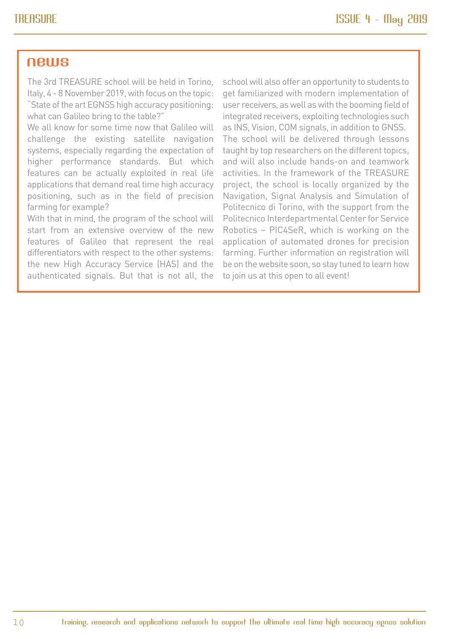#### <span id="page-9-0"></span>news

The 3rd TREASURE school will be held in Torino, Italy, 4 - 8 November 2019, with focus on the topic: "State of the art EGNSS high accuracy positioning: what can Galileo bring to the table?"

We all know for some time now that Galileo will challenge the existing satellite navigation systems, especially regarding the expectation of higher performance standards. But which features can be actually exploited in real life applications that demand real time high accuracy positioning, such as in the field of precision farming for example?

With that in mind, the program of the school will start from an extensive overview of the new features of Galileo that represent the real differentiators with respect to the other systems: the new High Accuracy Service (HAS) and the authenticated signals. But that is not all, the

school will also offer an opportunity to students to get familiarized with modern implementation of user receivers, as well as with the booming field of integrated receivers, exploiting technologies such as INS, Vision, COM signals, in addition to GNSS. The school will be delivered through lessons taught by top researchers on the different topics, and will also include hands-on and teamwork activities. In the framework of the TREASURE project, the school is locally organized by the Navigation, Signal Analysis and Simulation of Politecnico di Torino, with the support from the Politecnico Interdepartmental Center for Service Robotics – PIC4SeR, which is working on the application of automated drones for precision farming. Further information on registration will be on the website soon, so stay tuned to learn how to join us at this open to all event!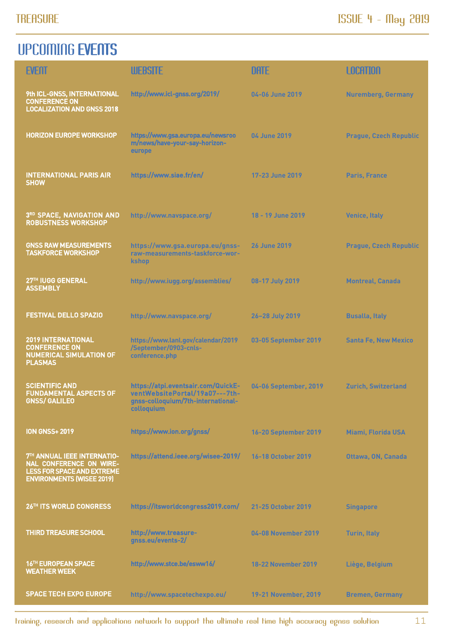### <span id="page-10-0"></span>UPCOMING EVENTS

| <b>EVENT</b>                                                                                                                    | <b>WEBSITE</b>                                                                                                           | <b>DATE</b>                | LOCATION                      |
|---------------------------------------------------------------------------------------------------------------------------------|--------------------------------------------------------------------------------------------------------------------------|----------------------------|-------------------------------|
| 9th ICL-GNSS, INTERNATIONAL<br><b>CONFERENCE ON</b><br><b>LOCALIZATION AND GNSS 2018</b>                                        | http://www.icl-gnss.org/2019/                                                                                            | 04-06 June 2019            | <b>Nuremberg, Germany</b>     |
| <b>HORIZON EUROPE WORKSHOP</b>                                                                                                  | https://www.gsa.europa.eu/newsroo<br>m/news/have-your-say-horizon-<br>europe                                             | 04 June 2019               | <b>Prague, Czech Republic</b> |
| <b>INTERNATIONAL PARIS AIR</b><br><b>SHOW</b>                                                                                   | https://www.siae.fr/en/                                                                                                  | 17-23 June 2019            | <b>Paris, France</b>          |
| 3RD SPACE, NAVIGATION AND<br><b>ROBUSTNESS WORKSHOP</b>                                                                         | http://www.navspace.org/                                                                                                 | 18 - 19 June 2019          | <b>Venice, Italy</b>          |
| <b>GNSS RAW MEASUREMENTS</b><br><b>TASKFORCE WORKSHOP</b>                                                                       | https://www.gsa.europa.eu/gnss-<br>raw-measurements-taskforce-wor-<br><b>kshop</b>                                       | <b>26 June 2019</b>        | <b>Prague, Czech Republic</b> |
| 27TH IUGG GENERAL<br><b>ASSEMBLY</b>                                                                                            | http://www.iugg.org/assemblies/                                                                                          | 08-17 July 2019            | <b>Montreal, Canada</b>       |
| <b>FESTIVAL DELLO SPAZIO</b>                                                                                                    | http://www.navspace.org/                                                                                                 | 26-28 July 2019            | <b>Busalla, Italy</b>         |
| <b>2019 INTERNATIONAL</b><br><b>CONFERENCE ON</b><br><b>NUMERICAL SIMULATION OF</b><br><b>PLASMAS</b>                           | https://www.lanl.gov/calendar/2019<br>/September/0903-cnls-<br>conference.php                                            | 03-05 September 2019       | <b>Santa Fe, New Mexico</b>   |
| <b>SCIENTIFIC AND</b><br><b>FUNDAMENTAL ASPECTS OF</b><br><b>GNSS/ GALILEO</b>                                                  | https://atpi.eventsair.com/QuickE-<br>ventWebsitePortal/19a07---7th-<br>gnss-colloquium/7th-international-<br>colloquium | 04-06 September, 2019      | <b>Zurich, Switzerland</b>    |
| <b>ION GNSS+ 2019</b>                                                                                                           | https://www.ion.org/gnss/                                                                                                | 16-20 September 2019       | <b>Miami, Florida USA</b>     |
| 7TH ANNUAL IEEE INTERNATIO-<br>NAL CONFERENCE ON WIRE-<br><b>LESS FOR SPACE AND EXTREME</b><br><b>ENVIRONMENTS (WISEE 2019)</b> | https://attend.ieee.org/wisee-2019/                                                                                      | 16-18 October 2019         | Ottawa, ON, Canada            |
| 26TH ITS WORLD CONGRESS                                                                                                         | https://itsworldcongress2019.com/                                                                                        | 21-25 October 2019         | <b>Singapore</b>              |
| <b>THIRD TREASURE SCHOOL</b>                                                                                                    | http://www.treasure-<br>gnss.eu/events-2/                                                                                | 04-08 November 2019        | <b>Turin, Italy</b>           |
| 16TH EUROPEAN SPACE<br><b>WEATHER WEEK</b>                                                                                      | http://www.stce.be/esww16/                                                                                               | <b>18-22 November 2019</b> | Liège, Belgium                |
| <b>SPACE TECH EXPO EUROPE</b>                                                                                                   | http://www.spacetechexpo.eu/                                                                                             | 19-21 November, 2019       | <b>Bremen, Germany</b>        |

training, research and applications network to support the ultimate real time high accuracy egnss solution 11